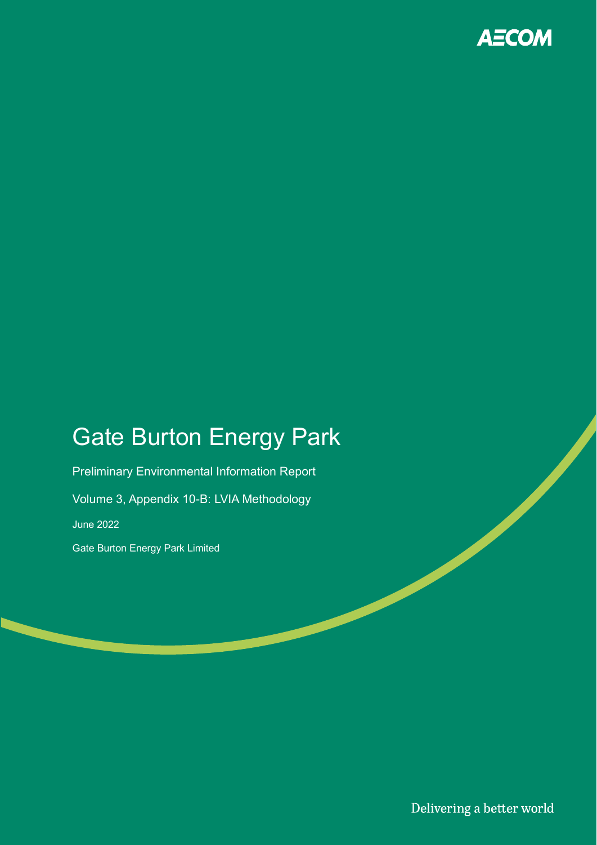

# Gate Burton Energy Park

Preliminary Environmental Information Report Volume 3, Appendix 10-B: LVIA Methodology June 2022 Gate Burton Energy Park Limited

Delivering a better world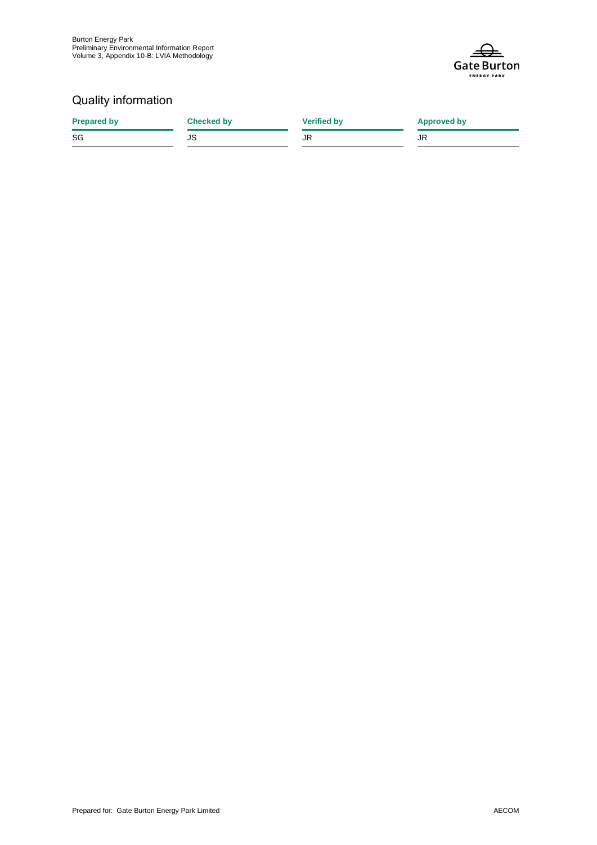

## Quality information

| <b>Prepared by</b> | <b>Checked by</b> | <b>Verified by</b> | <b>Approved by</b> |
|--------------------|-------------------|--------------------|--------------------|
| SG                 | JS                | JR                 | JR                 |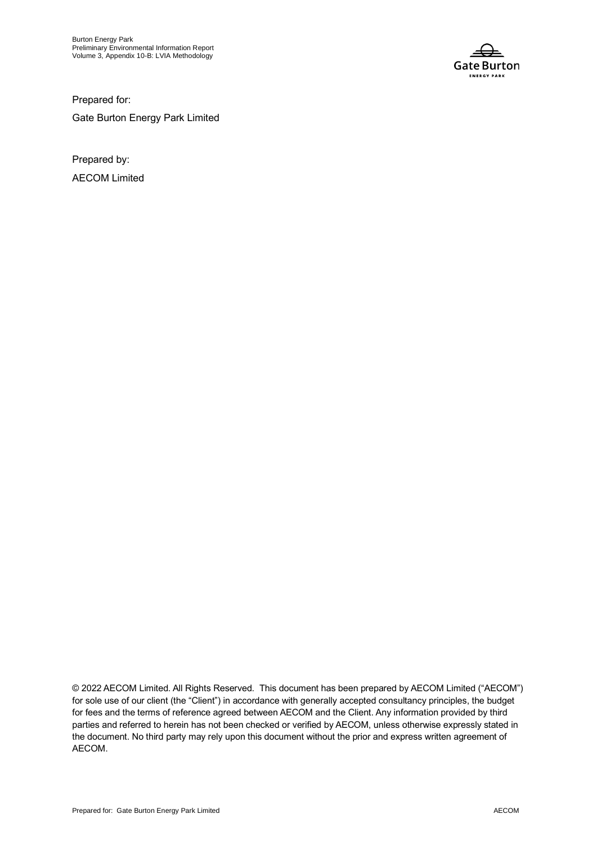

Prepared for: Gate Burton Energy Park Limited

Prepared by: AECOM Limited

© 2022 AECOM Limited. All Rights Reserved. This document has been prepared by AECOM Limited ("AECOM") for sole use of our client (the "Client") in accordance with generally accepted consultancy principles, the budget for fees and the terms of reference agreed between AECOM and the Client. Any information provided by third parties and referred to herein has not been checked or verified by AECOM, unless otherwise expressly stated in the document. No third party may rely upon this document without the prior and express written agreement of AECOM.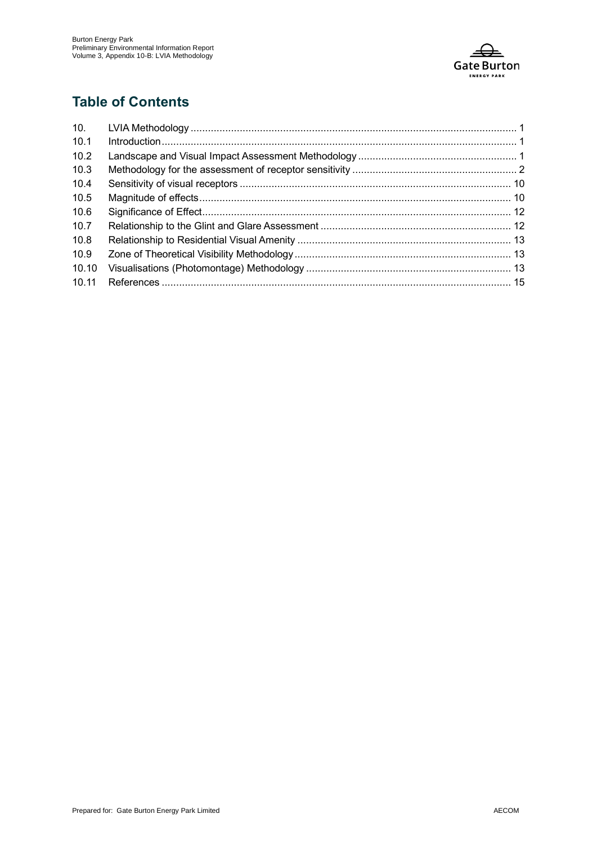

### **Table of Contents**

| 10.   |  |
|-------|--|
| 10.1  |  |
| 10.2  |  |
| 10.3  |  |
| 10.4  |  |
| 10.5  |  |
| 10.6  |  |
| 10.7  |  |
| 10.8  |  |
| 10.9  |  |
| 10.10 |  |
| 10.11 |  |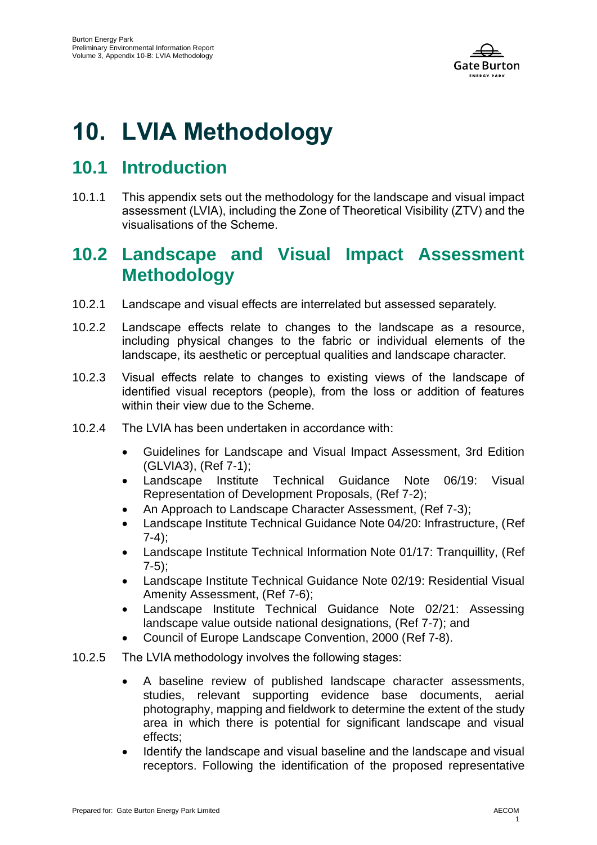

# <span id="page-4-0"></span>**10. LVIA Methodology**

# <span id="page-4-1"></span>**10.1 Introduction**

10.1.1 This appendix sets out the methodology for the landscape and visual impact assessment (LVIA), including the Zone of Theoretical Visibility (ZTV) and the visualisations of the Scheme.

# <span id="page-4-2"></span>**10.2 Landscape and Visual Impact Assessment Methodology**

- 10.2.1 Landscape and visual effects are interrelated but assessed separately.
- 10.2.2 Landscape effects relate to changes to the landscape as a resource, including physical changes to the fabric or individual elements of the landscape, its aesthetic or perceptual qualities and landscape character.
- 10.2.3 Visual effects relate to changes to existing views of the landscape of identified visual receptors (people), from the loss or addition of features within their view due to the Scheme.
- 10.2.4 The LVIA has been undertaken in accordance with:
	- Guidelines for Landscape and Visual Impact Assessment, 3rd Edition (GLVIA3), [\(Ref 7-1\)](#page-18-1);
	- Landscape Institute Technical Guidance Note 06/19: Visual Representation of Development Proposals, [\(Ref 7-2\)](#page-18-2);
	- An Approach to Landscape Character Assessment, [\(Ref 7-3\)](#page-18-3);
	- Landscape Institute Technical Guidance Note 04/20: Infrastructure, [\(Ref](#page-18-4)   $7-4$ :
	- Landscape Institute Technical Information Note 01/17: Tranquillity, [\(Ref](#page-18-5)  [7-5\)](#page-18-5);
	- Landscape Institute Technical Guidance Note 02/19: Residential Visual Amenity Assessment, [\(Ref 7-6\)](#page-18-6);
	- Landscape Institute Technical Guidance Note 02/21: Assessing landscape value outside national designations, [\(Ref 7-7\)](#page-18-7); and
	- Council of Europe Landscape Convention, 2000 [\(Ref 7-8\)](#page-18-8).
- 10.2.5 The LVIA methodology involves the following stages:
	- A baseline review of published landscape character assessments, studies, relevant supporting evidence base documents, aerial photography, mapping and fieldwork to determine the extent of the study area in which there is potential for significant landscape and visual effects;
	- Identify the landscape and visual baseline and the landscape and visual receptors. Following the identification of the proposed representative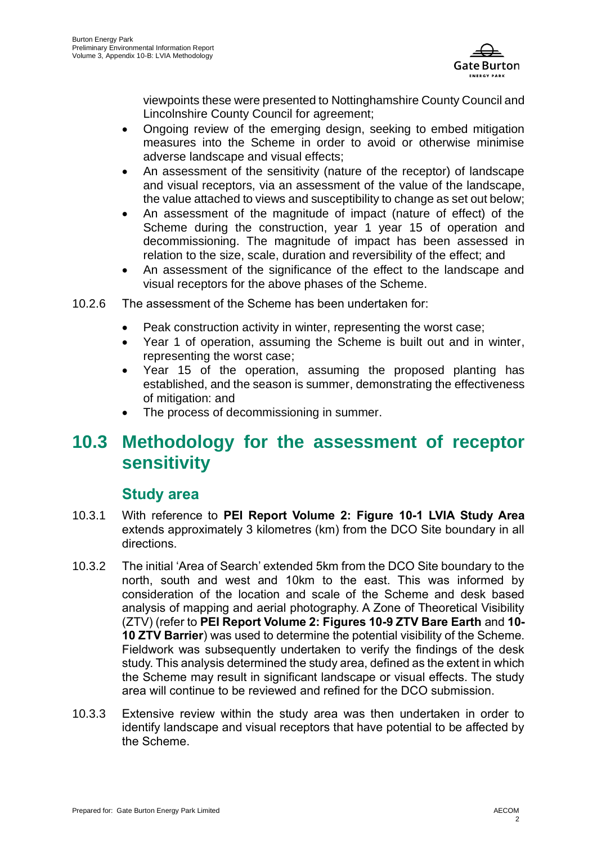

viewpoints these were presented to Nottinghamshire County Council and Lincolnshire County Council for agreement;

- Ongoing review of the emerging design, seeking to embed mitigation measures into the Scheme in order to avoid or otherwise minimise adverse landscape and visual effects;
- An assessment of the sensitivity (nature of the receptor) of landscape and visual receptors, via an assessment of the value of the landscape, the value attached to views and susceptibility to change as set out below;
- An assessment of the magnitude of impact (nature of effect) of the Scheme during the construction, year 1 year 15 of operation and decommissioning. The magnitude of impact has been assessed in relation to the size, scale, duration and reversibility of the effect; and
- An assessment of the significance of the effect to the landscape and visual receptors for the above phases of the Scheme.
- 10.2.6 The assessment of the Scheme has been undertaken for:
	- Peak construction activity in winter, representing the worst case;
	- Year 1 of operation, assuming the Scheme is built out and in winter, representing the worst case;
	- Year 15 of the operation, assuming the proposed planting has established, and the season is summer, demonstrating the effectiveness of mitigation: and
	- The process of decommissioning in summer.

# <span id="page-5-0"></span>**10.3 Methodology for the assessment of receptor sensitivity**

### **Study area**

- 10.3.1 With reference to **PEI Report Volume 2: Figure 10-1 LVIA Study Area**  extends approximately 3 kilometres (km) from the DCO Site boundary in all directions.
- 10.3.2 The initial 'Area of Search' extended 5km from the DCO Site boundary to the north, south and west and 10km to the east. This was informed by consideration of the location and scale of the Scheme and desk based analysis of mapping and aerial photography. A Zone of Theoretical Visibility (ZTV) (refer to **PEI Report Volume 2: Figures 10-9 ZTV Bare Earth** and **10- 10 ZTV Barrier**) was used to determine the potential visibility of the Scheme. Fieldwork was subsequently undertaken to verify the findings of the desk study. This analysis determined the study area, defined as the extent in which the Scheme may result in significant landscape or visual effects. The study area will continue to be reviewed and refined for the DCO submission.
- 10.3.3 Extensive review within the study area was then undertaken in order to identify landscape and visual receptors that have potential to be affected by the Scheme.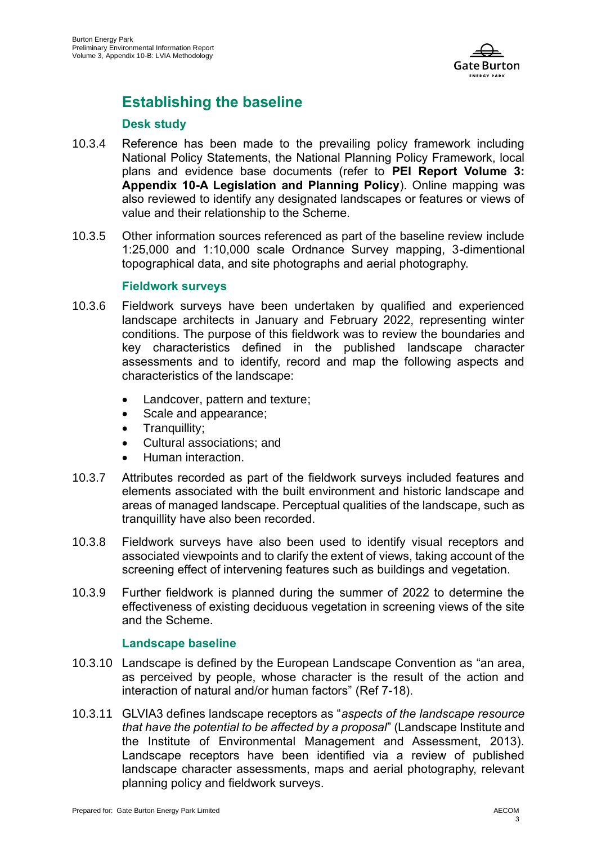

# **Establishing the baseline**

### **Desk study**

- 10.3.4 Reference has been made to the prevailing policy framework including National Policy Statements, the National Planning Policy Framework, local plans and evidence base documents (refer to **PEI Report Volume 3: Appendix 10-A Legislation and Planning Policy**). Online mapping was also reviewed to identify any designated landscapes or features or views of value and their relationship to the Scheme.
- 10.3.5 Other information sources referenced as part of the baseline review include 1:25,000 and 1:10,000 scale Ordnance Survey mapping, 3-dimentional topographical data, and site photographs and aerial photography.

### **Fieldwork surveys**

- 10.3.6 Fieldwork surveys have been undertaken by qualified and experienced landscape architects in January and February 2022, representing winter conditions. The purpose of this fieldwork was to review the boundaries and key characteristics defined in the published landscape character assessments and to identify, record and map the following aspects and characteristics of the landscape:
	- Landcover, pattern and texture;
	- Scale and appearance:
	- Tranquillity;
	- Cultural associations; and
	- Human interaction.
- 10.3.7 Attributes recorded as part of the fieldwork surveys included features and elements associated with the built environment and historic landscape and areas of managed landscape. Perceptual qualities of the landscape, such as tranquillity have also been recorded.
- 10.3.8 Fieldwork surveys have also been used to identify visual receptors and associated viewpoints and to clarify the extent of views, taking account of the screening effect of intervening features such as buildings and vegetation.
- 10.3.9 Further fieldwork is planned during the summer of 2022 to determine the effectiveness of existing deciduous vegetation in screening views of the site and the Scheme.

### **Landscape baseline**

- 10.3.10 Landscape is defined by the European Landscape Convention as "an area, as perceived by people, whose character is the result of the action and interaction of natural and/or human factors" [\(Ref 7-18](#page-18-1)).
- 10.3.11 GLVIA3 defines landscape receptors as "*aspects of the landscape resource that have the potential to be affected by a proposal*" (Landscape Institute and the Institute of Environmental Management and Assessment, 2013). Landscape receptors have been identified via a review of published landscape character assessments, maps and aerial photography, relevant planning policy and fieldwork surveys.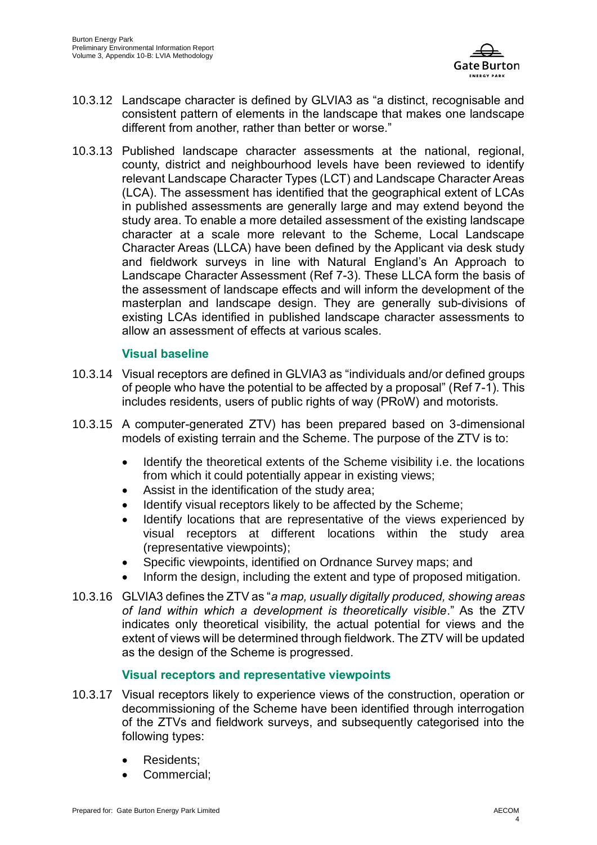

- 10.3.12 Landscape character is defined by GLVIA3 as "a distinct, recognisable and consistent pattern of elements in the landscape that makes one landscape different from another, rather than better or worse."
- 10.3.13 Published landscape character assessments at the national, regional, county, district and neighbourhood levels have been reviewed to identify relevant Landscape Character Types (LCT) and Landscape Character Areas (LCA). The assessment has identified that the geographical extent of LCAs in published assessments are generally large and may extend beyond the study area. To enable a more detailed assessment of the existing landscape character at a scale more relevant to the Scheme, Local Landscape Character Areas (LLCA) have been defined by the Applicant via desk study and fieldwork surveys in line with Natural England's An Approach to Landscape Character Assessment [\(Ref 7-3\)](#page-18-3). These LLCA form the basis of the assessment of landscape effects and will inform the development of the masterplan and landscape design. They are generally sub-divisions of existing LCAs identified in published landscape character assessments to allow an assessment of effects at various scales.

### **Visual baseline**

- 10.3.14 Visual receptors are defined in GLVIA3 as "individuals and/or defined groups of people who have the potential to be affected by a proposal" [\(Ref 7-1\)](#page-18-1). This includes residents, users of public rights of way (PRoW) and motorists.
- 10.3.15 A computer-generated ZTV) has been prepared based on 3-dimensional models of existing terrain and the Scheme. The purpose of the ZTV is to:
	- Identify the theoretical extents of the Scheme visibility i.e. the locations from which it could potentially appear in existing views;
	- Assist in the identification of the study area;
	- Identify visual receptors likely to be affected by the Scheme;
	- Identify locations that are representative of the views experienced by visual receptors at different locations within the study area (representative viewpoints);
	- Specific viewpoints, identified on Ordnance Survey maps; and
	- Inform the design, including the extent and type of proposed mitigation.
- 10.3.16 GLVIA3 defines the ZTV as "*a map, usually digitally produced, showing areas of land within which a development is theoretically visible*." As the ZTV indicates only theoretical visibility, the actual potential for views and the extent of views will be determined through fieldwork. The ZTV will be updated as the design of the Scheme is progressed.

### **Visual receptors and representative viewpoints**

- 10.3.17 Visual receptors likely to experience views of the construction, operation or decommissioning of the Scheme have been identified through interrogation of the ZTVs and fieldwork surveys, and subsequently categorised into the following types:
	- Residents:
	- Commercial: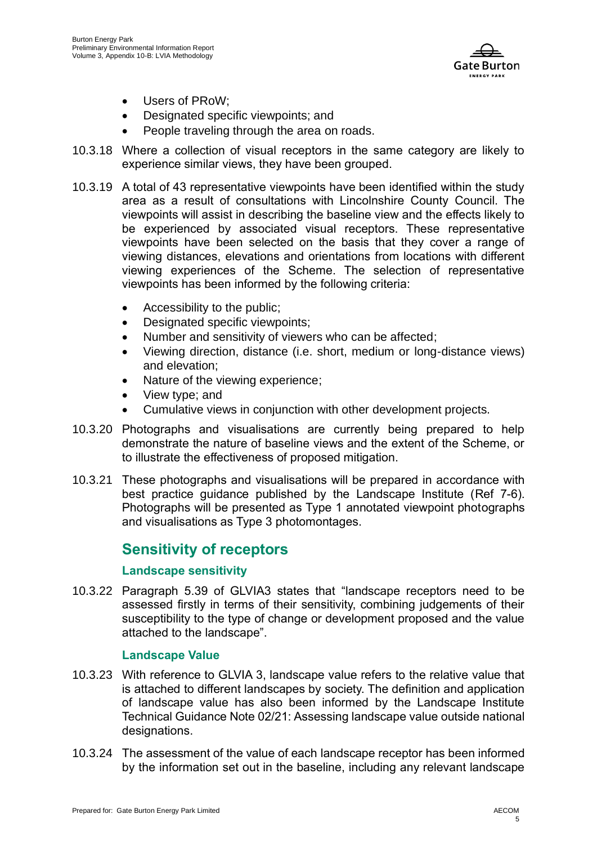

- Users of PRoW;
- Designated specific viewpoints; and
- People traveling through the area on roads.
- 10.3.18 Where a collection of visual receptors in the same category are likely to experience similar views, they have been grouped.
- 10.3.19 A total of 43 representative viewpoints have been identified within the study area as a result of consultations with Lincolnshire County Council. The viewpoints will assist in describing the baseline view and the effects likely to be experienced by associated visual receptors. These representative viewpoints have been selected on the basis that they cover a range of viewing distances, elevations and orientations from locations with different viewing experiences of the Scheme. The selection of representative viewpoints has been informed by the following criteria:
	- Accessibility to the public;
	- Designated specific viewpoints;
	- Number and sensitivity of viewers who can be affected;
	- Viewing direction, distance (i.e. short, medium or long-distance views) and elevation;
	- Nature of the viewing experience;
	- View type; and
	- Cumulative views in conjunction with other development projects.
- 10.3.20 Photographs and visualisations are currently being prepared to help demonstrate the nature of baseline views and the extent of the Scheme, or to illustrate the effectiveness of proposed mitigation.
- 10.3.21 These photographs and visualisations will be prepared in accordance with best practice guidance published by the Landscape Institute [\(Ref 7-6\)](#page-18-6). Photographs will be presented as Type 1 annotated viewpoint photographs and visualisations as Type 3 photomontages.

### **Sensitivity of receptors**

### **Landscape sensitivity**

10.3.22 Paragraph 5.39 of GLVIA3 states that "landscape receptors need to be assessed firstly in terms of their sensitivity, combining judgements of their susceptibility to the type of change or development proposed and the value attached to the landscape".

### **Landscape Value**

- 10.3.23 With reference to GLVIA 3, landscape value refers to the relative value that is attached to different landscapes by society. The definition and application of landscape value has also been informed by the Landscape Institute Technical Guidance Note 02/21: Assessing landscape value outside national designations.
- 10.3.24 The assessment of the value of each landscape receptor has been informed by the information set out in the baseline, including any relevant landscape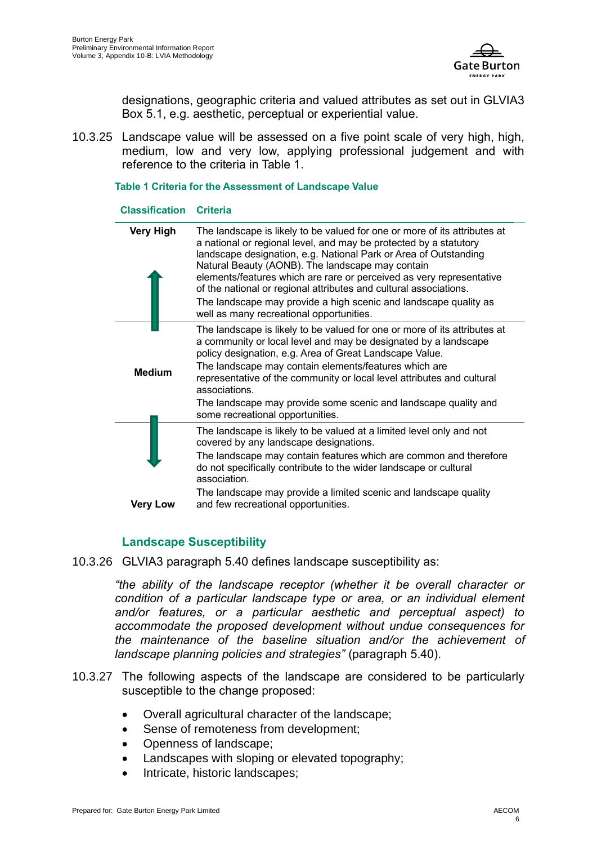

designations, geographic criteria and valued attributes as set out in GLVIA3 Box 5.1, e.g. aesthetic, perceptual or experiential value.

10.3.25 Landscape value will be assessed on a five point scale of very high, high, medium, low and very low, applying professional judgement and with reference to the criteria in Table 1.

#### **Table 1 Criteria for the Assessment of Landscape Value**

#### **Classification Criteria**

| <b>Very High</b> | The landscape is likely to be valued for one or more of its attributes at<br>a national or regional level, and may be protected by a statutory<br>landscape designation, e.g. National Park or Area of Outstanding<br>Natural Beauty (AONB). The landscape may contain<br>elements/features which are rare or perceived as very representative<br>of the national or regional attributes and cultural associations.<br>The landscape may provide a high scenic and landscape quality as<br>well as many recreational opportunities. |
|------------------|-------------------------------------------------------------------------------------------------------------------------------------------------------------------------------------------------------------------------------------------------------------------------------------------------------------------------------------------------------------------------------------------------------------------------------------------------------------------------------------------------------------------------------------|
| <b>Medium</b>    | The landscape is likely to be valued for one or more of its attributes at<br>a community or local level and may be designated by a landscape<br>policy designation, e.g. Area of Great Landscape Value.<br>The landscape may contain elements/features which are<br>representative of the community or local level attributes and cultural<br>associations.<br>The landscape may provide some scenic and landscape quality and<br>some recreational opportunities.                                                                  |
| <b>Very Low</b>  | The landscape is likely to be valued at a limited level only and not<br>covered by any landscape designations.<br>The landscape may contain features which are common and therefore<br>do not specifically contribute to the wider landscape or cultural<br>association.<br>The landscape may provide a limited scenic and landscape quality<br>and few recreational opportunities.                                                                                                                                                 |

### **Landscape Susceptibility**

10.3.26 GLVIA3 paragraph 5.40 defines landscape susceptibility as:

*"the ability of the landscape receptor (whether it be overall character or condition of a particular landscape type or area, or an individual element and/or features, or a particular aesthetic and perceptual aspect) to accommodate the proposed development without undue consequences for the maintenance of the baseline situation and/or the achievement of landscape planning policies and strategies"* (paragraph 5.40).

- 10.3.27 The following aspects of the landscape are considered to be particularly susceptible to the change proposed:
	- Overall agricultural character of the landscape;
	- Sense of remoteness from development;
	- Openness of landscape;
	- Landscapes with sloping or elevated topography;
	- Intricate, historic landscapes;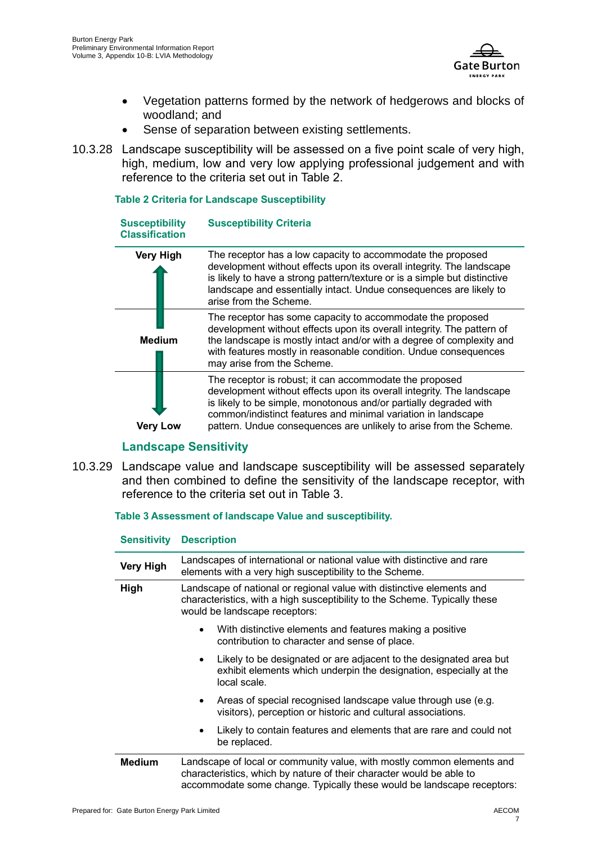

- Vegetation patterns formed by the network of hedgerows and blocks of woodland; and
- Sense of separation between existing settlements.
- 10.3.28 Landscape susceptibility will be assessed on a five point scale of very high, high, medium, low and very low applying professional judgement and with reference to the criteria set out in Table 2.

#### **Table 2 Criteria for Landscape Susceptibility**

| <b>Susceptibility</b><br><b>Classification</b> | <b>Susceptibility Criteria</b>                                                                                                                                                                                                                                                                                                               |
|------------------------------------------------|----------------------------------------------------------------------------------------------------------------------------------------------------------------------------------------------------------------------------------------------------------------------------------------------------------------------------------------------|
| <b>Very High</b>                               | The receptor has a low capacity to accommodate the proposed<br>development without effects upon its overall integrity. The landscape<br>is likely to have a strong pattern/texture or is a simple but distinctive<br>landscape and essentially intact. Undue consequences are likely to<br>arise from the Scheme.                            |
| <b>Medium</b>                                  | The receptor has some capacity to accommodate the proposed<br>development without effects upon its overall integrity. The pattern of<br>the landscape is mostly intact and/or with a degree of complexity and<br>with features mostly in reasonable condition. Undue consequences<br>may arise from the Scheme.                              |
| verv                                           | The receptor is robust; it can accommodate the proposed<br>development without effects upon its overall integrity. The landscape<br>is likely to be simple, monotonous and/or partially degraded with<br>common/indistinct features and minimal variation in landscape<br>pattern. Undue consequences are unlikely to arise from the Scheme. |

### **Landscape Sensitivity**

10.3.29 Landscape value and landscape susceptibility will be assessed separately and then combined to define the sensitivity of the landscape receptor, with reference to the criteria set out in Table 3.

#### **Table 3 Assessment of landscape Value and susceptibility.**

| <b>UURIURISTE</b> | ייטייוייטטע                                                                                                                                                                                                              |  |
|-------------------|--------------------------------------------------------------------------------------------------------------------------------------------------------------------------------------------------------------------------|--|
| <b>Very High</b>  | Landscapes of international or national value with distinctive and rare<br>elements with a very high susceptibility to the Scheme.                                                                                       |  |
| High              | Landscape of national or regional value with distinctive elements and<br>characteristics, with a high susceptibility to the Scheme. Typically these<br>would be landscape receptors:                                     |  |
|                   | With distinctive elements and features making a positive<br>$\bullet$<br>contribution to character and sense of place.                                                                                                   |  |
|                   | Likely to be designated or are adjacent to the designated area but<br>$\bullet$<br>exhibit elements which underpin the designation, especially at the<br>local scale.                                                    |  |
|                   | Areas of special recognised landscape value through use (e.g.<br>$\bullet$<br>visitors), perception or historic and cultural associations.                                                                               |  |
|                   | Likely to contain features and elements that are rare and could not<br>$\bullet$<br>be replaced.                                                                                                                         |  |
| <b>Medium</b>     | Landscape of local or community value, with mostly common elements and<br>characteristics, which by nature of their character would be able to<br>accommodate some change. Typically these would be landscape receptors: |  |

### **Sensitivity Description**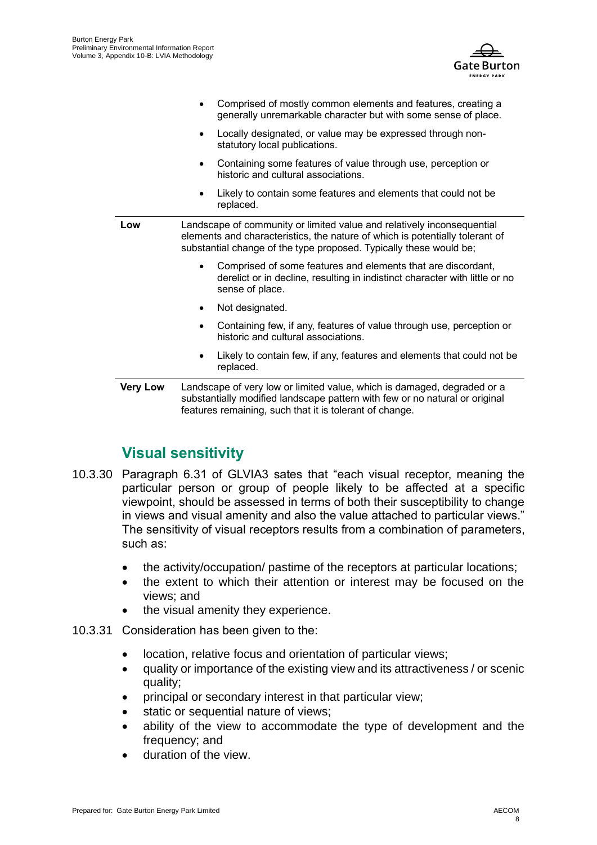

|                 | Comprised of mostly common elements and features, creating a<br>generally unremarkable character but with some sense of place.                                                                                               |
|-----------------|------------------------------------------------------------------------------------------------------------------------------------------------------------------------------------------------------------------------------|
|                 | Locally designated, or value may be expressed through non-<br>٠<br>statutory local publications.                                                                                                                             |
|                 | Containing some features of value through use, perception or<br>historic and cultural associations.                                                                                                                          |
|                 | Likely to contain some features and elements that could not be<br>replaced.                                                                                                                                                  |
| Low             | Landscape of community or limited value and relatively inconsequential<br>elements and characteristics, the nature of which is potentially tolerant of<br>substantial change of the type proposed. Typically these would be; |
|                 | Comprised of some features and elements that are discordant,<br>$\bullet$<br>derelict or in decline, resulting in indistinct character with little or no<br>sense of place.                                                  |
|                 | Not designated.                                                                                                                                                                                                              |
|                 | Containing few, if any, features of value through use, perception or<br>$\bullet$<br>historic and cultural associations.                                                                                                     |
|                 | Likely to contain few, if any, features and elements that could not be<br>٠<br>replaced.                                                                                                                                     |
| <b>Very Low</b> | Landscape of very low or limited value, which is damaged, degraded or a<br>substantially modified landscape pattern with few or no natural or original<br>features remaining, such that it is tolerant of change.            |

## **Visual sensitivity**

- 10.3.30 Paragraph 6.31 of GLVIA3 sates that "each visual receptor, meaning the particular person or group of people likely to be affected at a specific viewpoint, should be assessed in terms of both their susceptibility to change in views and visual amenity and also the value attached to particular views." The sensitivity of visual receptors results from a combination of parameters, such as:
	- the activity/occupation/ pastime of the receptors at particular locations;
	- the extent to which their attention or interest may be focused on the views; and
	- the visual amenity they experience.
- 10.3.31 Consideration has been given to the:
	- location, relative focus and orientation of particular views;
	- quality or importance of the existing view and its attractiveness / or scenic quality;
	- principal or secondary interest in that particular view;
	- static or sequential nature of views:
	- ability of the view to accommodate the type of development and the frequency; and
	- duration of the view.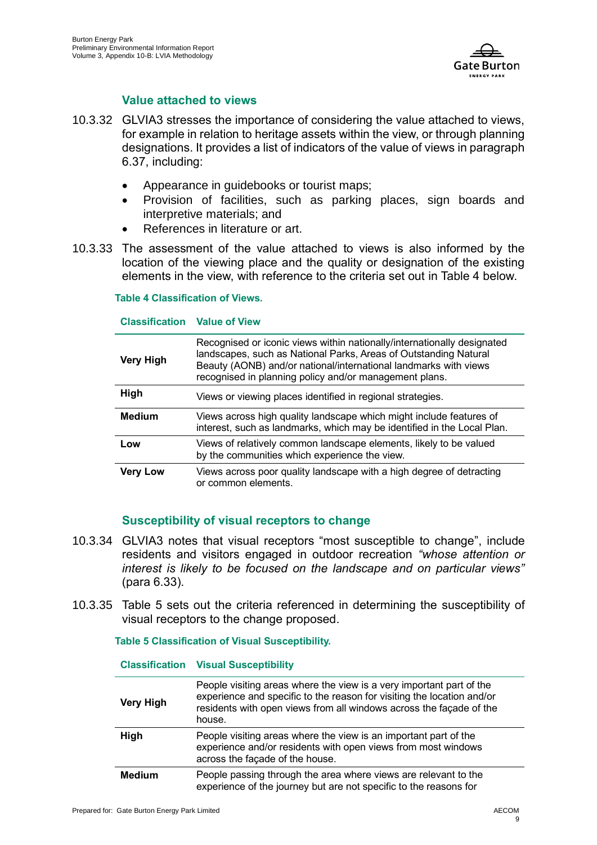

### **Value attached to views**

- 10.3.32 GLVIA3 stresses the importance of considering the value attached to views, for example in relation to heritage assets within the view, or through planning designations. It provides a list of indicators of the value of views in paragraph 6.37, including:
	- Appearance in guidebooks or tourist maps;
	- Provision of facilities, such as parking places, sign boards and interpretive materials; and
	- References in literature or art.
- 10.3.33 The assessment of the value attached to views is also informed by the location of the viewing place and the quality or designation of the existing elements in the view, with reference to the criteria set out in Table 4 below.

#### **Table 4 Classification of Views.**

#### **Classification Value of View**

| <b>Very High</b> | Recognised or iconic views within nationally/internationally designated<br>landscapes, such as National Parks, Areas of Outstanding Natural<br>Beauty (AONB) and/or national/international landmarks with views<br>recognised in planning policy and/or management plans. |
|------------------|---------------------------------------------------------------------------------------------------------------------------------------------------------------------------------------------------------------------------------------------------------------------------|
| <b>High</b>      | Views or viewing places identified in regional strategies.                                                                                                                                                                                                                |
| <b>Medium</b>    | Views across high quality landscape which might include features of<br>interest, such as landmarks, which may be identified in the Local Plan.                                                                                                                            |
| Low              | Views of relatively common landscape elements, likely to be valued<br>by the communities which experience the view.                                                                                                                                                       |
| <b>Very Low</b>  | Views across poor quality landscape with a high degree of detracting<br>or common elements.                                                                                                                                                                               |

### **Susceptibility of visual receptors to change**

- 10.3.34 GLVIA3 notes that visual receptors "most susceptible to change", include residents and visitors engaged in outdoor recreation *"whose attention or interest is likely to be focused on the landscape and on particular views"* (para 6.33).
- 10.3.35 Table 5 sets out the criteria referenced in determining the susceptibility of visual receptors to the change proposed.

#### **Table 5 Classification of Visual Susceptibility.**

#### **Classification Visual Susceptibility**

| <b>Very High</b> | People visiting areas where the view is a very important part of the<br>experience and specific to the reason for visiting the location and/or<br>residents with open views from all windows across the façade of the<br>house. |
|------------------|---------------------------------------------------------------------------------------------------------------------------------------------------------------------------------------------------------------------------------|
| High             | People visiting areas where the view is an important part of the<br>experience and/or residents with open views from most windows<br>across the façade of the house.                                                            |
| <b>Medium</b>    | People passing through the area where views are relevant to the<br>experience of the journey but are not specific to the reasons for                                                                                            |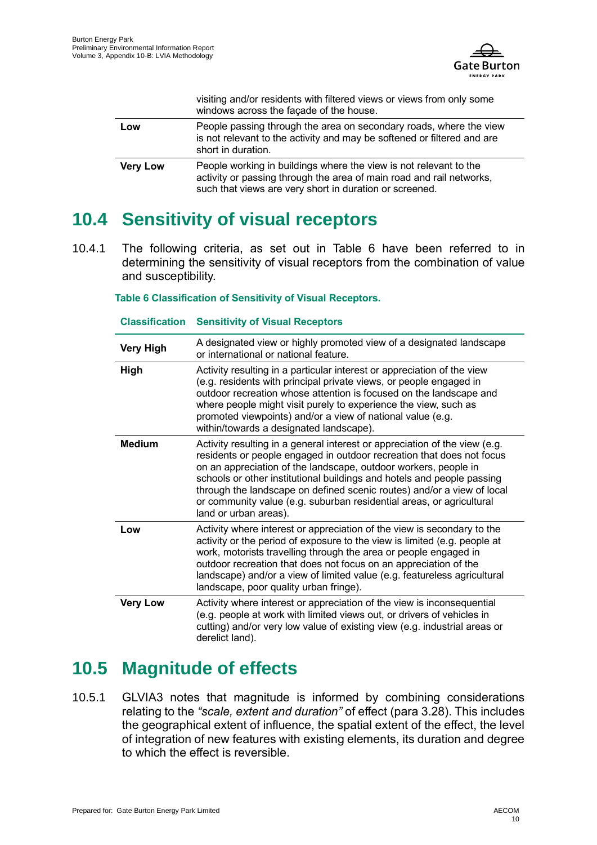

|                 | visiting and/or residents with filtered views or views from only some<br>windows across the façade of the house.                                                                                     |
|-----------------|------------------------------------------------------------------------------------------------------------------------------------------------------------------------------------------------------|
| Low             | People passing through the area on secondary roads, where the view<br>is not relevant to the activity and may be softened or filtered and are<br>short in duration.                                  |
| <b>Very Low</b> | People working in buildings where the view is not relevant to the<br>activity or passing through the area of main road and rail networks,<br>such that views are very short in duration or screened. |

# <span id="page-13-0"></span>**10.4 Sensitivity of visual receptors**

10.4.1 The following criteria, as set out in Table 6 have been referred to in determining the sensitivity of visual receptors from the combination of value and susceptibility.

**Table 6 Classification of Sensitivity of Visual Receptors.**

#### **Classification Sensitivity of Visual Receptors**

| <b>Very High</b> | A designated view or highly promoted view of a designated landscape<br>or international or national feature.                                                                                                                                                                                                                                                                                                                                                                |
|------------------|-----------------------------------------------------------------------------------------------------------------------------------------------------------------------------------------------------------------------------------------------------------------------------------------------------------------------------------------------------------------------------------------------------------------------------------------------------------------------------|
| High             | Activity resulting in a particular interest or appreciation of the view<br>(e.g. residents with principal private views, or people engaged in<br>outdoor recreation whose attention is focused on the landscape and<br>where people might visit purely to experience the view, such as<br>promoted viewpoints) and/or a view of national value (e.g.<br>within/towards a designated landscape).                                                                             |
| <b>Medium</b>    | Activity resulting in a general interest or appreciation of the view (e.g.<br>residents or people engaged in outdoor recreation that does not focus<br>on an appreciation of the landscape, outdoor workers, people in<br>schools or other institutional buildings and hotels and people passing<br>through the landscape on defined scenic routes) and/or a view of local<br>or community value (e.g. suburban residential areas, or agricultural<br>land or urban areas). |
| Low              | Activity where interest or appreciation of the view is secondary to the<br>activity or the period of exposure to the view is limited (e.g. people at<br>work, motorists travelling through the area or people engaged in<br>outdoor recreation that does not focus on an appreciation of the<br>landscape) and/or a view of limited value (e.g. featureless agricultural<br>landscape, poor quality urban fringe).                                                          |
| <b>Very Low</b>  | Activity where interest or appreciation of the view is inconsequential<br>(e.g. people at work with limited views out, or drivers of vehicles in<br>cutting) and/or very low value of existing view (e.g. industrial areas or<br>derelict land).                                                                                                                                                                                                                            |

# <span id="page-13-1"></span>**10.5 Magnitude of effects**

10.5.1 GLVIA3 notes that magnitude is informed by combining considerations relating to the *"scale, extent and duration"* of effect (para 3.28). This includes the geographical extent of influence, the spatial extent of the effect, the level of integration of new features with existing elements, its duration and degree to which the effect is reversible.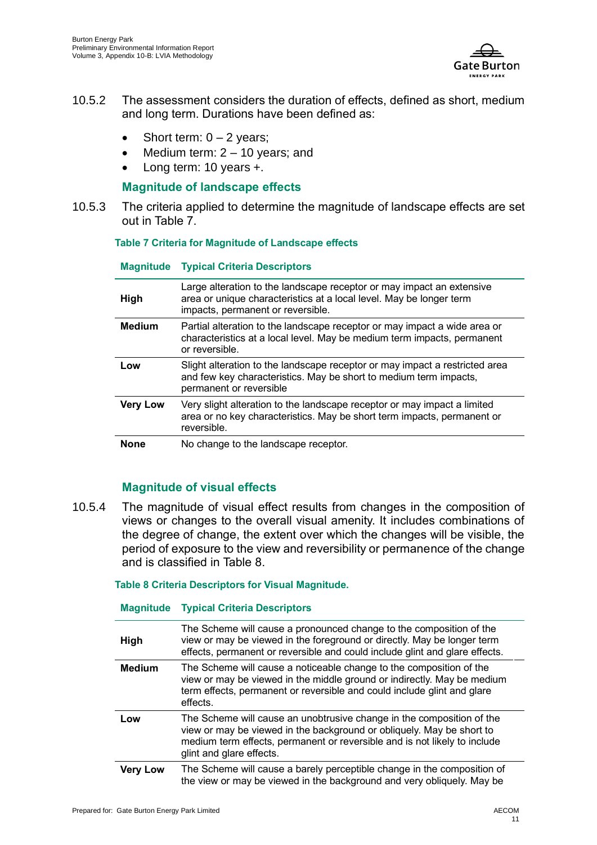

- 10.5.2 The assessment considers the duration of effects, defined as short, medium and long term. Durations have been defined as:
	- Short term:  $0 2$  years;
	- Medium term:  $2 10$  years; and
	- Long term: 10 years +.

### **Magnitude of landscape effects**

10.5.3 The criteria applied to determine the magnitude of landscape effects are set out in Table 7.

#### **Table 7 Criteria for Magnitude of Landscape effects**

#### **Magnitude Typical Criteria Descriptors**

| High            | Large alteration to the landscape receptor or may impact an extensive<br>area or unique characteristics at a local level. May be longer term<br>impacts, permanent or reversible. |
|-----------------|-----------------------------------------------------------------------------------------------------------------------------------------------------------------------------------|
| <b>Medium</b>   | Partial alteration to the landscape receptor or may impact a wide area or<br>characteristics at a local level. May be medium term impacts, permanent<br>or reversible.            |
| Low             | Slight alteration to the landscape receptor or may impact a restricted area<br>and few key characteristics. May be short to medium term impacts,<br>permanent or reversible       |
| <b>Very Low</b> | Very slight alteration to the landscape receptor or may impact a limited<br>area or no key characteristics. May be short term impacts, permanent or<br>reversible.                |
| <b>None</b>     | No change to the landscape receptor.                                                                                                                                              |

### **Magnitude of visual effects**

10.5.4 The magnitude of visual effect results from changes in the composition of views or changes to the overall visual amenity. It includes combinations of the degree of change, the extent over which the changes will be visible, the period of exposure to the view and reversibility or permanence of the change and is classified in Table 8.

**Table 8 Criteria Descriptors for Visual Magnitude.**

#### **Magnitude Typical Criteria Descriptors**

| High            | The Scheme will cause a pronounced change to the composition of the<br>view or may be viewed in the foreground or directly. May be longer term<br>effects, permanent or reversible and could include glint and glare effects.                           |
|-----------------|---------------------------------------------------------------------------------------------------------------------------------------------------------------------------------------------------------------------------------------------------------|
| <b>Medium</b>   | The Scheme will cause a noticeable change to the composition of the<br>view or may be viewed in the middle ground or indirectly. May be medium<br>term effects, permanent or reversible and could include glint and glare<br>effects.                   |
| Low             | The Scheme will cause an unobtrusive change in the composition of the<br>view or may be viewed in the background or obliquely. May be short to<br>medium term effects, permanent or reversible and is not likely to include<br>glint and glare effects. |
| <b>Very Low</b> | The Scheme will cause a barely perceptible change in the composition of<br>the view or may be viewed in the background and very obliquely. May be                                                                                                       |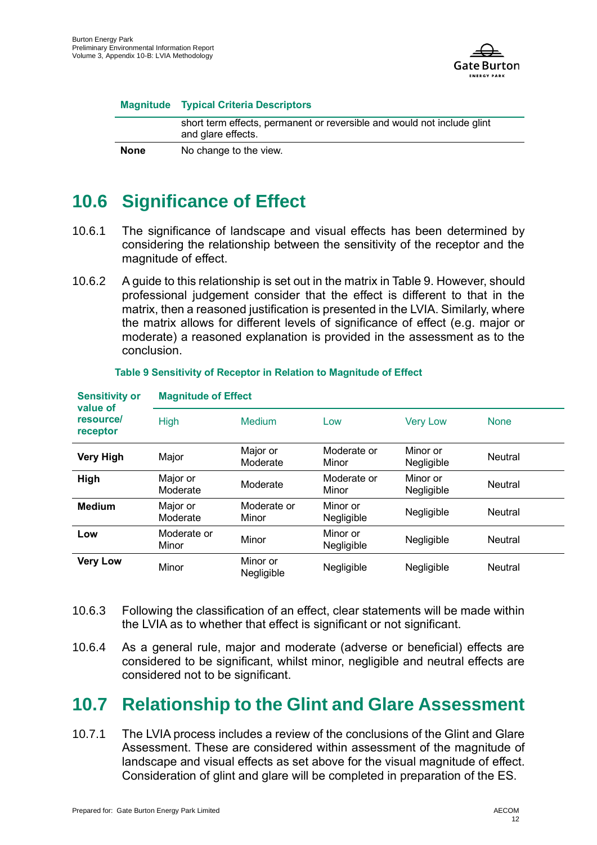

#### **Magnitude Typical Criteria Descriptors**

|             | short term effects, permanent or reversible and would not include glint<br>and glare effects. |
|-------------|-----------------------------------------------------------------------------------------------|
| <b>None</b> | No change to the view.                                                                        |

# <span id="page-15-0"></span>**10.6 Significance of Effect**

- 10.6.1 The significance of landscape and visual effects has been determined by considering the relationship between the sensitivity of the receptor and the magnitude of effect.
- 10.6.2 A guide to this relationship is set out in the matrix in Table 9. However, should professional judgement consider that the effect is different to that in the matrix, then a reasoned justification is presented in the LVIA. Similarly, where the matrix allows for different levels of significance of effect (e.g. major or moderate) a reasoned explanation is provided in the assessment as to the conclusion.

| <b>Sensitivity or</b><br>value of<br>resource/<br>receptor | <b>Magnitude of Effect</b> |                        |                        |                        |                |  |
|------------------------------------------------------------|----------------------------|------------------------|------------------------|------------------------|----------------|--|
|                                                            | <b>High</b>                | Medium                 | Low                    | <b>Very Low</b>        | <b>None</b>    |  |
| <b>Very High</b>                                           | Major                      | Major or<br>Moderate   | Moderate or<br>Minor   | Minor or<br>Negligible | <b>Neutral</b> |  |
| High                                                       | Major or<br>Moderate       | Moderate               | Moderate or<br>Minor   | Minor or<br>Negligible | <b>Neutral</b> |  |
| <b>Medium</b>                                              | Major or<br>Moderate       | Moderate or<br>Minor   | Minor or<br>Negligible | Negligible             | <b>Neutral</b> |  |
| Low                                                        | Moderate or<br>Minor       | Minor                  | Minor or<br>Negligible | Negligible             | <b>Neutral</b> |  |
| <b>Very Low</b>                                            | Minor                      | Minor or<br>Negligible | Negligible             | Negligible             | <b>Neutral</b> |  |

#### **Table 9 Sensitivity of Receptor in Relation to Magnitude of Effect**

- 10.6.3 Following the classification of an effect, clear statements will be made within the LVIA as to whether that effect is significant or not significant.
- 10.6.4 As a general rule, major and moderate (adverse or beneficial) effects are considered to be significant, whilst minor, negligible and neutral effects are considered not to be significant.

# <span id="page-15-1"></span>**10.7 Relationship to the Glint and Glare Assessment**

10.7.1 The LVIA process includes a review of the conclusions of the Glint and Glare Assessment. These are considered within assessment of the magnitude of landscape and visual effects as set above for the visual magnitude of effect. Consideration of glint and glare will be completed in preparation of the ES.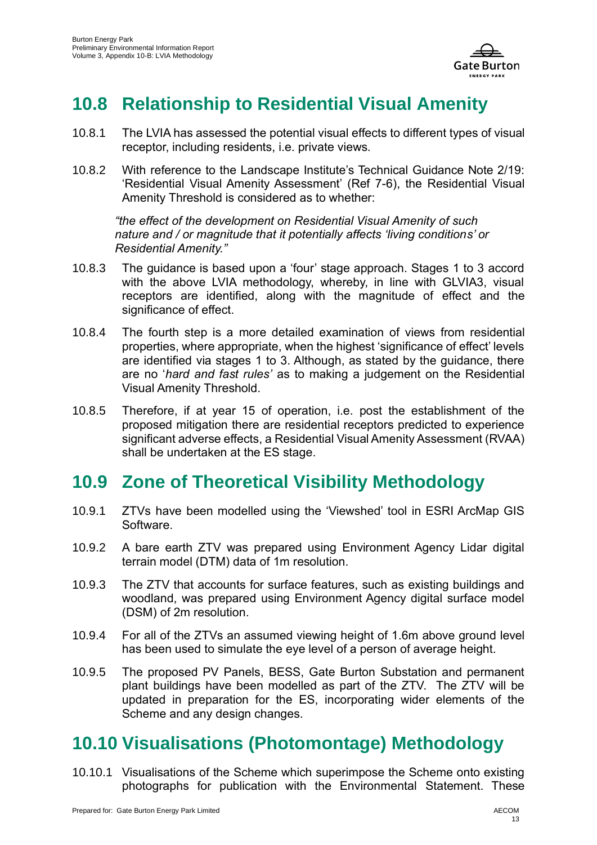

# <span id="page-16-0"></span>**10.8 Relationship to Residential Visual Amenity**

- 10.8.1 The LVIA has assessed the potential visual effects to different types of visual receptor, including residents, i.e. private views.
- 10.8.2 With reference to the Landscape Institute's Technical Guidance Note 2/19: 'Residential Visual Amenity Assessment' [\(Ref 7-6\)](#page-18-6), the Residential Visual Amenity Threshold is considered as to whether:

*"the effect of the development on Residential Visual Amenity of such nature and / or magnitude that it potentially affects 'living conditions' or Residential Amenity."*

- 10.8.3 The guidance is based upon a 'four' stage approach. Stages 1 to 3 accord with the above LVIA methodology, whereby, in line with GLVIA3, visual receptors are identified, along with the magnitude of effect and the significance of effect.
- 10.8.4 The fourth step is a more detailed examination of views from residential properties, where appropriate, when the highest 'significance of effect' levels are identified via stages 1 to 3. Although, as stated by the guidance, there are no '*hard and fast rules'* as to making a judgement on the Residential Visual Amenity Threshold.
- 10.8.5 Therefore, if at year 15 of operation, i.e. post the establishment of the proposed mitigation there are residential receptors predicted to experience significant adverse effects, a Residential Visual Amenity Assessment (RVAA) shall be undertaken at the ES stage.

# <span id="page-16-1"></span>**10.9 Zone of Theoretical Visibility Methodology**

- 10.9.1 ZTVs have been modelled using the 'Viewshed' tool in ESRI ArcMap GIS **Software**
- 10.9.2 A bare earth ZTV was prepared using Environment Agency Lidar digital terrain model (DTM) data of 1m resolution.
- 10.9.3 The ZTV that accounts for surface features, such as existing buildings and woodland, was prepared using Environment Agency digital surface model (DSM) of 2m resolution.
- 10.9.4 For all of the ZTVs an assumed viewing height of 1.6m above ground level has been used to simulate the eye level of a person of average height.
- 10.9.5 The proposed PV Panels, BESS, Gate Burton Substation and permanent plant buildings have been modelled as part of the ZTV. The ZTV will be updated in preparation for the ES, incorporating wider elements of the Scheme and any design changes.

# <span id="page-16-2"></span>**10.10 Visualisations (Photomontage) Methodology**

10.10.1 Visualisations of the Scheme which superimpose the Scheme onto existing photographs for publication with the Environmental Statement. These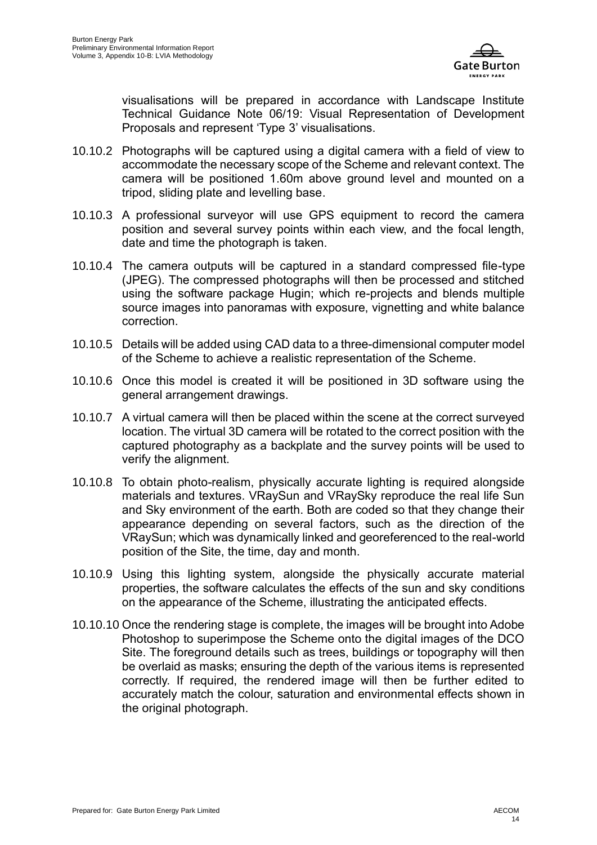

visualisations will be prepared in accordance with Landscape Institute Technical Guidance Note 06/19: Visual Representation of Development Proposals and represent 'Type 3' visualisations.

- 10.10.2 Photographs will be captured using a digital camera with a field of view to accommodate the necessary scope of the Scheme and relevant context. The camera will be positioned 1.60m above ground level and mounted on a tripod, sliding plate and levelling base.
- 10.10.3 A professional surveyor will use GPS equipment to record the camera position and several survey points within each view, and the focal length, date and time the photograph is taken.
- 10.10.4 The camera outputs will be captured in a standard compressed file-type (JPEG). The compressed photographs will then be processed and stitched using the software package Hugin; which re-projects and blends multiple source images into panoramas with exposure, vignetting and white balance correction.
- 10.10.5 Details will be added using CAD data to a three-dimensional computer model of the Scheme to achieve a realistic representation of the Scheme.
- 10.10.6 Once this model is created it will be positioned in 3D software using the general arrangement drawings.
- 10.10.7 A virtual camera will then be placed within the scene at the correct surveyed location. The virtual 3D camera will be rotated to the correct position with the captured photography as a backplate and the survey points will be used to verify the alignment.
- 10.10.8 To obtain photo-realism, physically accurate lighting is required alongside materials and textures. VRaySun and VRaySky reproduce the real life Sun and Sky environment of the earth. Both are coded so that they change their appearance depending on several factors, such as the direction of the VRaySun; which was dynamically linked and georeferenced to the real-world position of the Site, the time, day and month.
- 10.10.9 Using this lighting system, alongside the physically accurate material properties, the software calculates the effects of the sun and sky conditions on the appearance of the Scheme, illustrating the anticipated effects.
- 10.10.10 Once the rendering stage is complete, the images will be brought into Adobe Photoshop to superimpose the Scheme onto the digital images of the DCO Site. The foreground details such as trees, buildings or topography will then be overlaid as masks; ensuring the depth of the various items is represented correctly. If required, the rendered image will then be further edited to accurately match the colour, saturation and environmental effects shown in the original photograph.